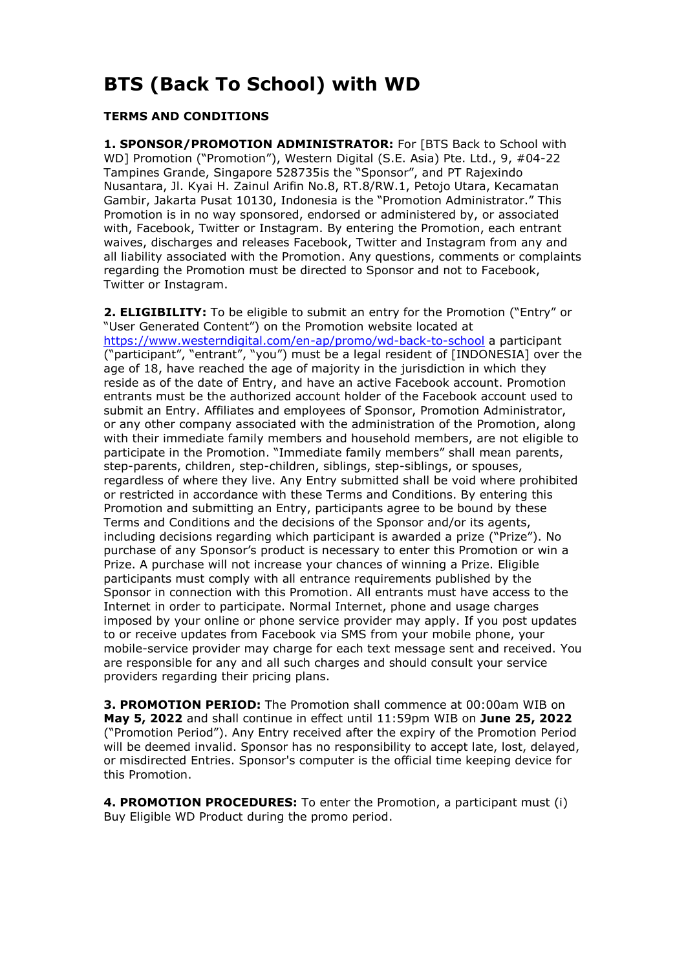# **BTS (Back To School) with WD**

### **TERMS AND CONDITIONS**

**1. SPONSOR/PROMOTION ADMINISTRATOR:** For [BTS Back to School with WD] Promotion ("Promotion"), Western Digital (S.E. Asia) Pte. Ltd., 9, #04-22 Tampines Grande, Singapore 528735is the "Sponsor", and PT Rajexindo Nusantara, Jl. Kyai H. Zainul Arifin No.8, RT.8/RW.1, Petojo Utara, Kecamatan Gambir, Jakarta Pusat 10130, Indonesia is the "Promotion Administrator." This Promotion is in no way sponsored, endorsed or administered by, or associated with, Facebook, Twitter or Instagram. By entering the Promotion, each entrant waives, discharges and releases Facebook, Twitter and Instagram from any and all liability associated with the Promotion. Any questions, comments or complaints regarding the Promotion must be directed to Sponsor and not to Facebook, Twitter or Instagram.

**2. ELIGIBILITY:** To be eligible to submit an entry for the Promotion ("Entry" or "User Generated Content") on the Promotion website located at <https://www.westerndigital.com/en-ap/promo/wd-back-to-school> a participant ("participant", "entrant", "you") must be a legal resident of [INDONESIA] over the age of 18, have reached the age of majority in the jurisdiction in which they reside as of the date of Entry, and have an active Facebook account. Promotion entrants must be the authorized account holder of the Facebook account used to submit an Entry. Affiliates and employees of Sponsor, Promotion Administrator, or any other company associated with the administration of the Promotion, along with their immediate family members and household members, are not eligible to participate in the Promotion. "Immediate family members" shall mean parents, step-parents, children, step-children, siblings, step-siblings, or spouses, regardless of where they live. Any Entry submitted shall be void where prohibited or restricted in accordance with these Terms and Conditions. By entering this Promotion and submitting an Entry, participants agree to be bound by these Terms and Conditions and the decisions of the Sponsor and/or its agents, including decisions regarding which participant is awarded a prize ("Prize"). No purchase of any Sponsor's product is necessary to enter this Promotion or win a Prize. A purchase will not increase your chances of winning a Prize. Eligible participants must comply with all entrance requirements published by the Sponsor in connection with this Promotion. All entrants must have access to the Internet in order to participate. Normal Internet, phone and usage charges imposed by your online or phone service provider may apply. If you post updates to or receive updates from Facebook via SMS from your mobile phone, your mobile-service provider may charge for each text message sent and received. You are responsible for any and all such charges and should consult your service providers regarding their pricing plans.

**3. PROMOTION PERIOD:** The Promotion shall commence at 00:00am WIB on **May 5, 2022** and shall continue in effect until 11:59pm WIB on **June 25, 2022** ("Promotion Period"). Any Entry received after the expiry of the Promotion Period will be deemed invalid. Sponsor has no responsibility to accept late, lost, delayed, or misdirected Entries. Sponsor's computer is the official time keeping device for this Promotion.

**4. PROMOTION PROCEDURES:** To enter the Promotion, a participant must (i) Buy Eligible WD Product during the promo period.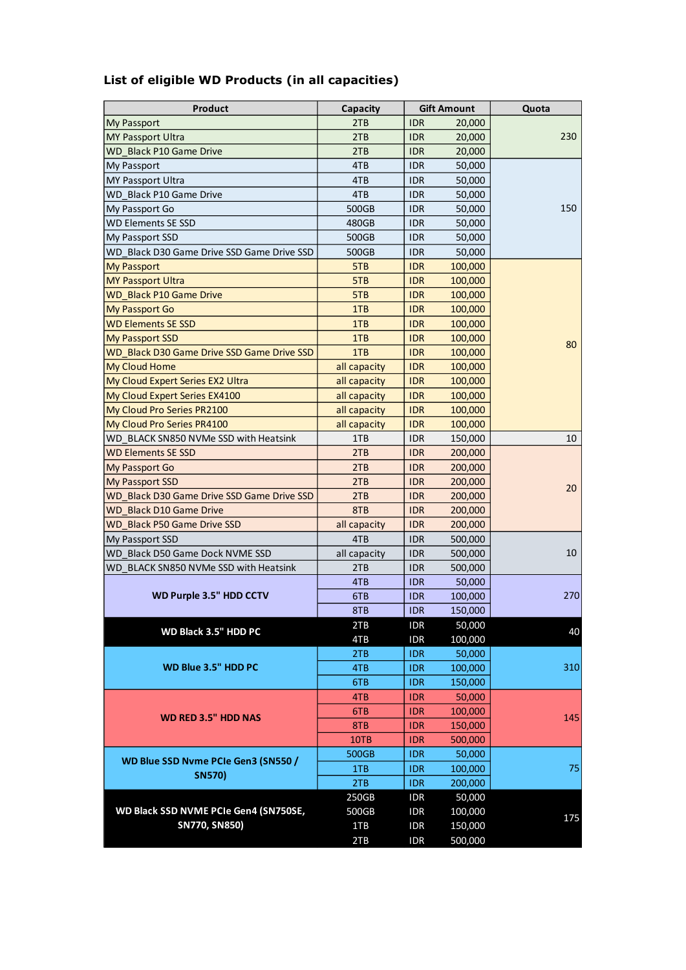| Product                                    | Capacity     |            | <b>Gift Amount</b> | Quota |
|--------------------------------------------|--------------|------------|--------------------|-------|
| <b>My Passport</b>                         | 2TB          | <b>IDR</b> | 20,000             |       |
| <b>MY Passport Ultra</b>                   | 2TB          | <b>IDR</b> | 20,000             | 230   |
| WD Black P10 Game Drive                    | 2TB          | <b>IDR</b> | 20,000             |       |
| My Passport                                | 4TB          | <b>IDR</b> | 50,000             |       |
| <b>MY Passport Ultra</b>                   | 4TB          | <b>IDR</b> | 50,000             |       |
| WD Black P10 Game Drive                    | 4TB          | <b>IDR</b> | 50,000             |       |
| My Passport Go                             | 500GB        | <b>IDR</b> | 50,000             | 150   |
| <b>WD Elements SE SSD</b>                  | 480GB        | <b>IDR</b> | 50,000             |       |
| My Passport SSD                            | 500GB        | <b>IDR</b> | 50,000             |       |
| WD Black D30 Game Drive SSD Game Drive SSD | 500GB        | <b>IDR</b> | 50,000             |       |
| <b>My Passport</b>                         | 5TB          | <b>IDR</b> | 100,000            |       |
| <b>MY Passport Ultra</b>                   | 5TB          | <b>IDR</b> | 100,000            |       |
| <b>WD_Black P10 Game Drive</b>             | 5TB          | <b>IDR</b> | 100,000            |       |
| <b>My Passport Go</b>                      | 1TB          | <b>IDR</b> | 100,000            |       |
| <b>WD Elements SE SSD</b>                  | 1TB          | <b>IDR</b> | 100,000            |       |
| <b>My Passport SSD</b>                     | 1TB          | <b>IDR</b> | 100,000            |       |
| WD Black D30 Game Drive SSD Game Drive SSD | 1TB          | <b>IDR</b> | 100,000            | 80    |
| My Cloud Home                              | all capacity | <b>IDR</b> | 100,000            |       |
| My Cloud Expert Series EX2 Ultra           | all capacity | <b>IDR</b> | 100,000            |       |
| My Cloud Expert Series EX4100              | all capacity | <b>IDR</b> | 100,000            |       |
| My Cloud Pro Series PR2100                 | all capacity | <b>IDR</b> | 100,000            |       |
| My Cloud Pro Series PR4100                 | all capacity | <b>IDR</b> | 100,000            |       |
| WD BLACK SN850 NVMe SSD with Heatsink      | 1TB          | IDR.       | 150,000            | 10    |
| <b>WD Elements SE SSD</b>                  |              | <b>IDR</b> |                    |       |
|                                            | 2TB<br>2TB   | <b>IDR</b> | 200,000            |       |
| <b>My Passport Go</b>                      |              |            | 200,000            |       |
| <b>My Passport SSD</b>                     | 2TB          | <b>IDR</b> | 200,000            | 20    |
| WD Black D30 Game Drive SSD Game Drive SSD | 2TB          | <b>IDR</b> | 200,000            |       |
| <b>WD Black D10 Game Drive</b>             | 8TB          | <b>IDR</b> | 200,000            |       |
| <b>WD Black P50 Game Drive SSD</b>         | all capacity | <b>IDR</b> | 200,000            |       |
| My Passport SSD                            | 4TB          | <b>IDR</b> | 500,000            |       |
| WD Black D50 Game Dock NVME SSD            | all capacity | <b>IDR</b> | 500,000            | 10    |
| WD BLACK SN850 NVMe SSD with Heatsink      | 2TB          | <b>IDR</b> | 500,000            |       |
|                                            | 4TB          | <b>IDR</b> | 50,000             |       |
| <b>WD Purple 3.5" HDD CCTV</b>             | 6TB          | <b>IDR</b> | 100,000            | 270   |
|                                            | 8TB          | <b>IDR</b> | 150,000            |       |
| WD Black 3.5" HDD PC                       | 2TB          | <b>IDR</b> | 50,000             | 40    |
|                                            | 4TB          | <b>IDR</b> | 100,000            |       |
|                                            | 2TB          | <b>IDR</b> | 50,000             |       |
| WD Blue 3.5" HDD PC                        | 4TB          | <b>IDR</b> | 100,000            | 310   |
|                                            | 6TB          | <b>IDR</b> | 150,000            |       |
|                                            | 4TB          | <b>IDR</b> | 50,000             |       |
| <b>WD RED 3.5" HDD NAS</b>                 | 6TB          | <b>IDR</b> | 100,000            | 145   |
|                                            | 8TB          | <b>IDR</b> | 150,000            |       |
|                                            | 10TB         | <b>IDR</b> | 500,000            |       |
|                                            | 500GB        | <b>IDR</b> | 50,000             |       |
| WD Blue SSD Nvme PCIe Gen3 (SN550 /        | 1TB          | <b>IDR</b> | 100,000            | 75    |
| <b>SN570)</b>                              | 2TB          | <b>IDR</b> | 200,000            |       |
|                                            | 250GB        | <b>IDR</b> | 50,000             |       |
| WD Black SSD NVME PCIe Gen4 (SN750SE,      | 500GB        | <b>IDR</b> | 100,000            |       |
| SN770, SN850)                              | 1TB          | <b>IDR</b> | 150,000            | 175   |
|                                            | 2TB          | <b>IDR</b> | 500,000            |       |
|                                            |              |            |                    |       |

# **List of eligible WD Products (in all capacities)**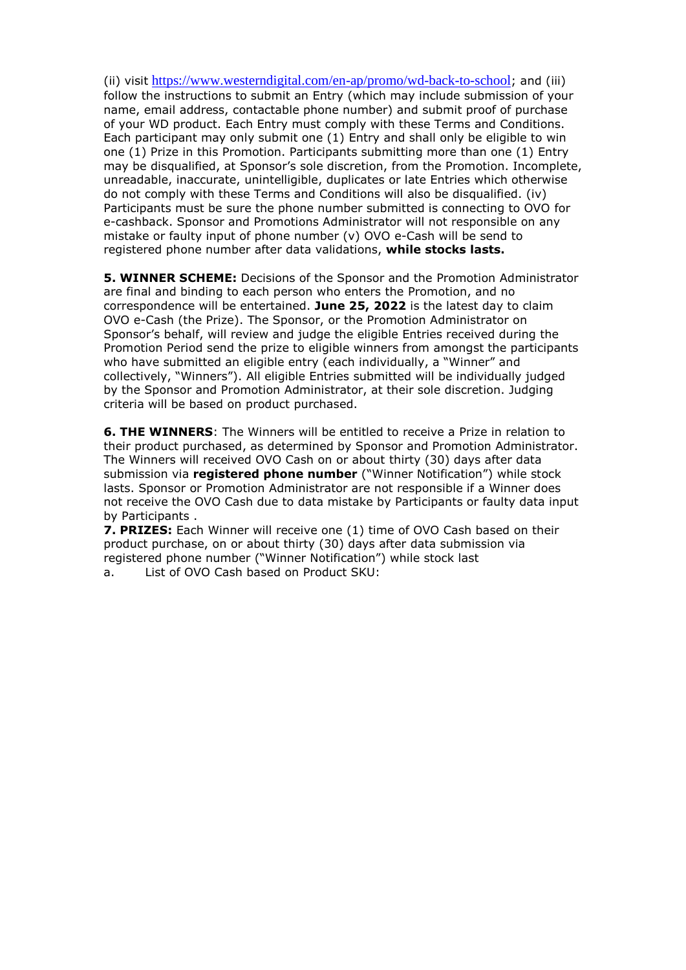(ii) visit <https://www.westerndigital.com/en-ap/promo/wd-back-to-school>; and (iii) follow the instructions to submit an Entry (which may include submission of your name, email address, contactable phone number) and submit proof of purchase of your WD product. Each Entry must comply with these Terms and Conditions. Each participant may only submit one (1) Entry and shall only be eligible to win one (1) Prize in this Promotion. Participants submitting more than one (1) Entry may be disqualified, at Sponsor's sole discretion, from the Promotion. Incomplete, unreadable, inaccurate, unintelligible, duplicates or late Entries which otherwise do not comply with these Terms and Conditions will also be disqualified. (iv) Participants must be sure the phone number submitted is connecting to OVO for e-cashback. Sponsor and Promotions Administrator will not responsible on any mistake or faulty input of phone number (v) OVO e-Cash will be send to registered phone number after data validations, **while stocks lasts.**

**5. WINNER SCHEME:** Decisions of the Sponsor and the Promotion Administrator are final and binding to each person who enters the Promotion, and no correspondence will be entertained. **June 25, 2022** is the latest day to claim OVO e-Cash (the Prize). The Sponsor, or the Promotion Administrator on Sponsor's behalf, will review and judge the eligible Entries received during the Promotion Period send the prize to eligible winners from amongst the participants who have submitted an eligible entry (each individually, a "Winner" and collectively, "Winners"). All eligible Entries submitted will be individually judged by the Sponsor and Promotion Administrator, at their sole discretion. Judging criteria will be based on product purchased.

**6. THE WINNERS**: The Winners will be entitled to receive a Prize in relation to their product purchased, as determined by Sponsor and Promotion Administrator. The Winners will received OVO Cash on or about thirty (30) days after data submission via **registered phone number** ("Winner Notification") while stock lasts. Sponsor or Promotion Administrator are not responsible if a Winner does not receive the OVO Cash due to data mistake by Participants or faulty data input by Participants .

**7. PRIZES:** Each Winner will receive one (1) time of OVO Cash based on their product purchase, on or about thirty (30) days after data submission via registered phone number ("Winner Notification") while stock last

a. List of OVO Cash based on Product SKU: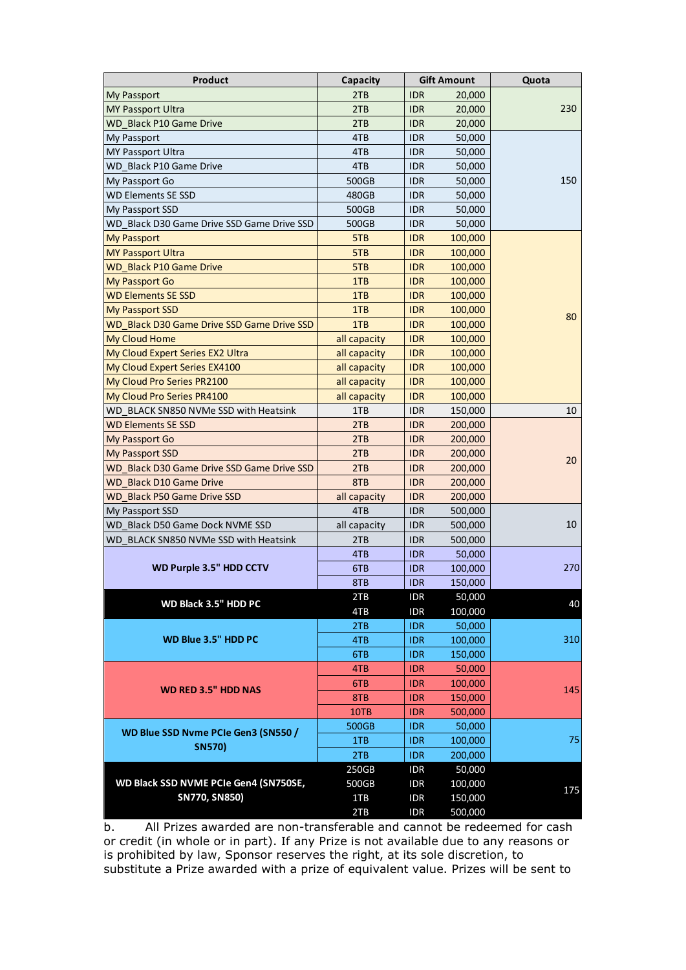| <b>Product</b>                             | Capacity     |            | <b>Gift Amount</b> | Quota |
|--------------------------------------------|--------------|------------|--------------------|-------|
| <b>My Passport</b>                         | 2TB          | <b>IDR</b> | 20,000             | 230   |
| <b>MY Passport Ultra</b>                   | 2TB          | <b>IDR</b> | 20,000             |       |
| WD Black P10 Game Drive                    | 2TB          | <b>IDR</b> | 20,000             |       |
| <b>My Passport</b>                         | 4TB          | <b>IDR</b> | 50,000             |       |
| <b>MY Passport Ultra</b>                   | 4TB          | <b>IDR</b> | 50,000             |       |
| WD Black P10 Game Drive                    | 4TB          | <b>IDR</b> | 50,000             |       |
| My Passport Go                             | 500GB        | <b>IDR</b> | 50,000             | 150   |
| <b>WD Elements SE SSD</b>                  | 480GB        | <b>IDR</b> | 50,000             |       |
| My Passport SSD                            | 500GB        | <b>IDR</b> | 50,000             |       |
| WD Black D30 Game Drive SSD Game Drive SSD | 500GB        | <b>IDR</b> | 50,000             |       |
| <b>My Passport</b>                         | 5TB          | <b>IDR</b> | 100,000            |       |
| <b>MY Passport Ultra</b>                   | 5TB          | <b>IDR</b> | 100,000            |       |
| <b>WD Black P10 Game Drive</b>             | 5TB          | <b>IDR</b> | 100,000            |       |
| <b>My Passport Go</b>                      | 1TB          | <b>IDR</b> | 100,000            |       |
| <b>WD Elements SE SSD</b>                  | 1TB          | <b>IDR</b> | 100,000            |       |
| <b>My Passport SSD</b>                     | 1TB          | <b>IDR</b> | 100,000            | 80    |
| WD Black D30 Game Drive SSD Game Drive SSD | 1TB          | <b>IDR</b> | 100,000            |       |
| <b>My Cloud Home</b>                       | all capacity | <b>IDR</b> | 100,000            |       |
| My Cloud Expert Series EX2 Ultra           | all capacity | <b>IDR</b> | 100,000            |       |
| My Cloud Expert Series EX4100              | all capacity | <b>IDR</b> | 100,000            |       |
| My Cloud Pro Series PR2100                 | all capacity | <b>IDR</b> | 100,000            |       |
| My Cloud Pro Series PR4100                 | all capacity | <b>IDR</b> | 100,000            |       |
| WD BLACK SN850 NVMe SSD with Heatsink      | 1TB          | <b>IDR</b> | 150,000            | 10    |
| <b>WD Elements SE SSD</b>                  | 2TB          | <b>IDR</b> | 200,000            |       |
| <b>My Passport Go</b>                      | 2TB          | <b>IDR</b> | 200,000            |       |
| <b>My Passport SSD</b>                     | 2TB          | <b>IDR</b> | 200,000            |       |
| WD Black D30 Game Drive SSD Game Drive SSD | 2TB          | <b>IDR</b> | 200,000            | 20    |
| WD Black D10 Game Drive                    | 8TB          | <b>IDR</b> | 200,000            |       |
| WD Black P50 Game Drive SSD                | all capacity | <b>IDR</b> | 200,000            |       |
| My Passport SSD                            | 4TB          | <b>IDR</b> | 500,000            |       |
| WD Black D50 Game Dock NVME SSD            | all capacity | <b>IDR</b> | 500,000            | 10    |
| WD BLACK SN850 NVMe SSD with Heatsink      | 2TB          | <b>IDR</b> | 500,000            |       |
| WD Purple 3.5" HDD CCTV                    | 4TB          | <b>IDR</b> | 50,000             | 270   |
|                                            | 6TB          | <b>IDR</b> | 100,000            |       |
|                                            | 8TB          | <b>IDR</b> | 150,000            |       |
| WD Black 3.5" HDD PC                       | 2TB          | <b>IDR</b> | 50,000             | 40    |
|                                            | 4TB          | <b>IDR</b> | 100,000            |       |
|                                            | 2TB          | <b>IDR</b> | 50,000             |       |
| WD Blue 3.5" HDD PC                        | 4TB          | <b>IDR</b> | 100,000            | 310   |
|                                            | 6TB          | <b>IDR</b> | 150,000            |       |
|                                            | 4TB          | <b>IDR</b> | 50,000             |       |
| <b>WD RED 3.5" HDD NAS</b>                 | 6TB          | <b>IDR</b> | 100,000<br>145     |       |
|                                            | 8TB          | <b>IDR</b> | 150,000            |       |
|                                            | 10TB         | <b>IDR</b> | 500,000            |       |
| WD Blue SSD Nvme PCIe Gen3 (SN550 /        | 500GB        | <b>IDR</b> | 50,000             |       |
| <b>SN570)</b>                              | 1TB          | <b>IDR</b> | 100,000            | 75    |
|                                            | 2TB          | <b>IDR</b> | 200,000            |       |
|                                            | 250GB        | <b>IDR</b> | 50,000             |       |
| WD Black SSD NVME PCIe Gen4 (SN750SE,      | 500GB        | <b>IDR</b> | 100,000            | 175   |
| <b>SN770, SN850)</b>                       | 1TB          | <b>IDR</b> | 150,000            |       |
|                                            | 2TB          | <b>IDR</b> | 500,000            |       |

b. All Prizes awarded are non-transferable and cannot be redeemed for cash or credit (in whole or in part). If any Prize is not available due to any reasons or is prohibited by law, Sponsor reserves the right, at its sole discretion, to substitute a Prize awarded with a prize of equivalent value. Prizes will be sent to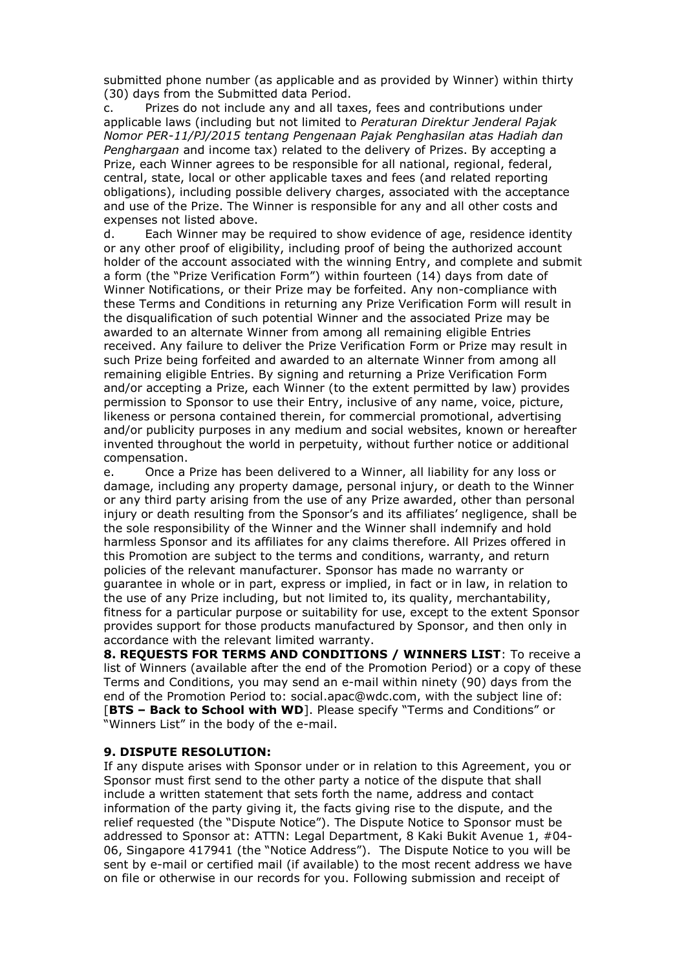submitted phone number (as applicable and as provided by Winner) within thirty (30) days from the Submitted data Period.

c. Prizes do not include any and all taxes, fees and contributions under applicable laws (including but not limited to *Peraturan Direktur Jenderal Pajak Nomor PER-11/PJ/2015 tentang Pengenaan Pajak Penghasilan atas Hadiah dan Penghargaan* and income tax) related to the delivery of Prizes. By accepting a Prize, each Winner agrees to be responsible for all national, regional, federal, central, state, local or other applicable taxes and fees (and related reporting obligations), including possible delivery charges, associated with the acceptance and use of the Prize. The Winner is responsible for any and all other costs and expenses not listed above.

d. Each Winner may be required to show evidence of age, residence identity or any other proof of eligibility, including proof of being the authorized account holder of the account associated with the winning Entry, and complete and submit a form (the "Prize Verification Form") within fourteen (14) days from date of Winner Notifications, or their Prize may be forfeited. Any non-compliance with these Terms and Conditions in returning any Prize Verification Form will result in the disqualification of such potential Winner and the associated Prize may be awarded to an alternate Winner from among all remaining eligible Entries received. Any failure to deliver the Prize Verification Form or Prize may result in such Prize being forfeited and awarded to an alternate Winner from among all remaining eligible Entries. By signing and returning a Prize Verification Form and/or accepting a Prize, each Winner (to the extent permitted by law) provides permission to Sponsor to use their Entry, inclusive of any name, voice, picture, likeness or persona contained therein, for commercial promotional, advertising and/or publicity purposes in any medium and social websites, known or hereafter invented throughout the world in perpetuity, without further notice or additional compensation.

e. Once a Prize has been delivered to a Winner, all liability for any loss or damage, including any property damage, personal injury, or death to the Winner or any third party arising from the use of any Prize awarded, other than personal injury or death resulting from the Sponsor's and its affiliates' negligence, shall be the sole responsibility of the Winner and the Winner shall indemnify and hold harmless Sponsor and its affiliates for any claims therefore. All Prizes offered in this Promotion are subject to the terms and conditions, warranty, and return policies of the relevant manufacturer. Sponsor has made no warranty or guarantee in whole or in part, express or implied, in fact or in law, in relation to the use of any Prize including, but not limited to, its quality, merchantability, fitness for a particular purpose or suitability for use, except to the extent Sponsor provides support for those products manufactured by Sponsor, and then only in accordance with the relevant limited warranty.

**8. REQUESTS FOR TERMS AND CONDITIONS / WINNERS LIST**: To receive a list of Winners (available after the end of the Promotion Period) or a copy of these Terms and Conditions, you may send an e-mail within ninety (90) days from the end of the Promotion Period to: social.apac@wdc.com, with the subject line of: [**BTS – Back to School with WD**]. Please specify "Terms and Conditions" or "Winners List" in the body of the e-mail.

#### **9. DISPUTE RESOLUTION:**

If any dispute arises with Sponsor under or in relation to this Agreement, you or Sponsor must first send to the other party a notice of the dispute that shall include a written statement that sets forth the name, address and contact information of the party giving it, the facts giving rise to the dispute, and the relief requested (the "Dispute Notice"). The Dispute Notice to Sponsor must be addressed to Sponsor at: ATTN: Legal Department, 8 Kaki Bukit Avenue 1, #04- 06, Singapore 417941 (the "Notice Address"). The Dispute Notice to you will be sent by e-mail or certified mail (if available) to the most recent address we have on file or otherwise in our records for you. Following submission and receipt of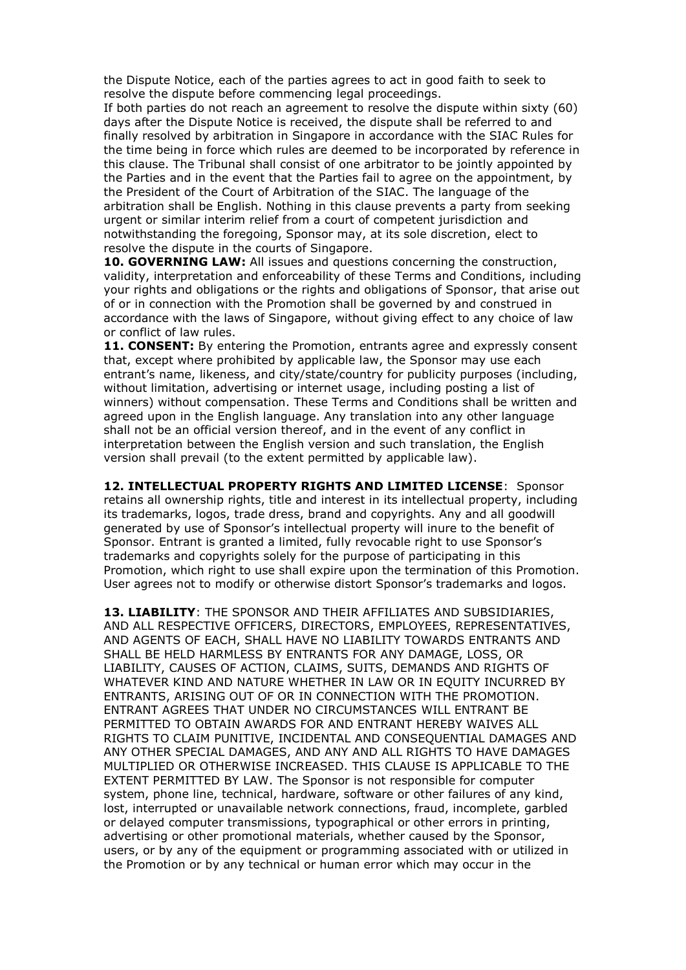the Dispute Notice, each of the parties agrees to act in good faith to seek to resolve the dispute before commencing legal proceedings.

If both parties do not reach an agreement to resolve the dispute within sixty (60) days after the Dispute Notice is received, the dispute shall be referred to and finally resolved by arbitration in Singapore in accordance with the SIAC Rules for the time being in force which rules are deemed to be incorporated by reference in this clause. The Tribunal shall consist of one arbitrator to be jointly appointed by the Parties and in the event that the Parties fail to agree on the appointment, by the President of the Court of Arbitration of the SIAC. The language of the arbitration shall be English. Nothing in this clause prevents a party from seeking urgent or similar interim relief from a court of competent jurisdiction and notwithstanding the foregoing, Sponsor may, at its sole discretion, elect to resolve the dispute in the courts of Singapore.

**10. GOVERNING LAW:** All issues and questions concerning the construction, validity, interpretation and enforceability of these Terms and Conditions, including your rights and obligations or the rights and obligations of Sponsor, that arise out of or in connection with the Promotion shall be governed by and construed in accordance with the laws of Singapore, without giving effect to any choice of law or conflict of law rules.

**11. CONSENT:** By entering the Promotion, entrants agree and expressly consent that, except where prohibited by applicable law, the Sponsor may use each entrant's name, likeness, and city/state/country for publicity purposes (including, without limitation, advertising or internet usage, including posting a list of winners) without compensation. These Terms and Conditions shall be written and agreed upon in the English language. Any translation into any other language shall not be an official version thereof, and in the event of any conflict in interpretation between the English version and such translation, the English version shall prevail (to the extent permitted by applicable law).

**12. INTELLECTUAL PROPERTY RIGHTS AND LIMITED LICENSE**: Sponsor retains all ownership rights, title and interest in its intellectual property, including its trademarks, logos, trade dress, brand and copyrights. Any and all goodwill generated by use of Sponsor's intellectual property will inure to the benefit of Sponsor. Entrant is granted a limited, fully revocable right to use Sponsor's trademarks and copyrights solely for the purpose of participating in this Promotion, which right to use shall expire upon the termination of this Promotion. User agrees not to modify or otherwise distort Sponsor's trademarks and logos.

**13. LIABILITY**: THE SPONSOR AND THEIR AFFILIATES AND SUBSIDIARIES, AND ALL RESPECTIVE OFFICERS, DIRECTORS, EMPLOYEES, REPRESENTATIVES, AND AGENTS OF EACH, SHALL HAVE NO LIABILITY TOWARDS ENTRANTS AND SHALL BE HELD HARMLESS BY ENTRANTS FOR ANY DAMAGE, LOSS, OR LIABILITY, CAUSES OF ACTION, CLAIMS, SUITS, DEMANDS AND RIGHTS OF WHATEVER KIND AND NATURE WHETHER IN LAW OR IN EQUITY INCURRED BY ENTRANTS, ARISING OUT OF OR IN CONNECTION WITH THE PROMOTION. ENTRANT AGREES THAT UNDER NO CIRCUMSTANCES WILL ENTRANT BE PERMITTED TO OBTAIN AWARDS FOR AND ENTRANT HEREBY WAIVES ALL RIGHTS TO CLAIM PUNITIVE, INCIDENTAL AND CONSEQUENTIAL DAMAGES AND ANY OTHER SPECIAL DAMAGES, AND ANY AND ALL RIGHTS TO HAVE DAMAGES MULTIPLIED OR OTHERWISE INCREASED. THIS CLAUSE IS APPLICABLE TO THE EXTENT PERMITTED BY LAW. The Sponsor is not responsible for computer system, phone line, technical, hardware, software or other failures of any kind, lost, interrupted or unavailable network connections, fraud, incomplete, garbled or delayed computer transmissions, typographical or other errors in printing, advertising or other promotional materials, whether caused by the Sponsor, users, or by any of the equipment or programming associated with or utilized in the Promotion or by any technical or human error which may occur in the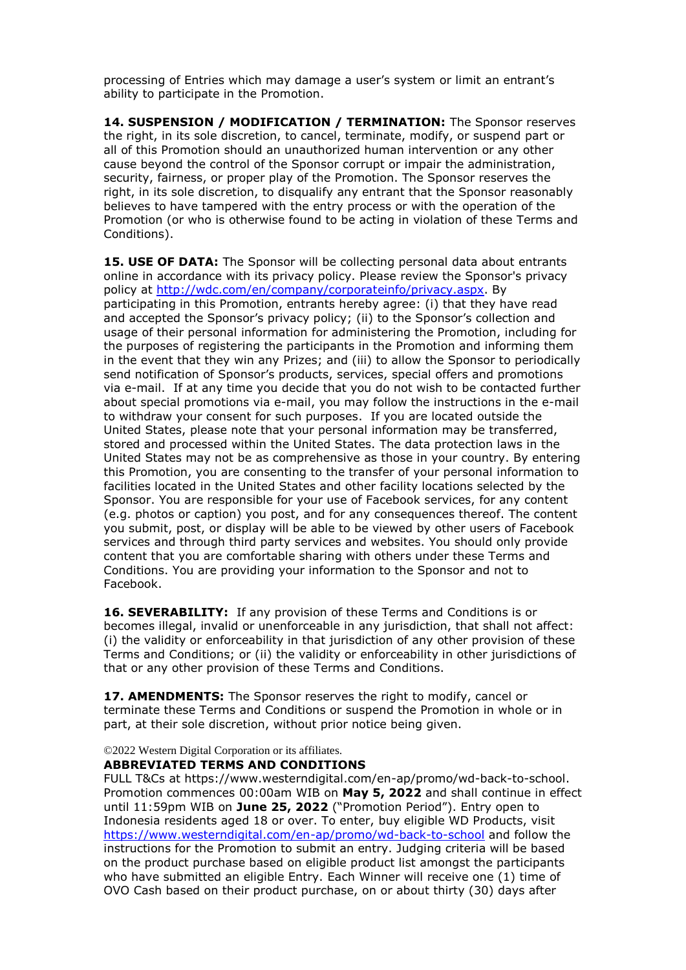processing of Entries which may damage a user's system or limit an entrant's ability to participate in the Promotion.

**14. SUSPENSION / MODIFICATION / TERMINATION:** The Sponsor reserves the right, in its sole discretion, to cancel, terminate, modify, or suspend part or all of this Promotion should an unauthorized human intervention or any other cause beyond the control of the Sponsor corrupt or impair the administration, security, fairness, or proper play of the Promotion. The Sponsor reserves the right, in its sole discretion, to disqualify any entrant that the Sponsor reasonably believes to have tampered with the entry process or with the operation of the Promotion (or who is otherwise found to be acting in violation of these Terms and Conditions).

**15. USE OF DATA:** The Sponsor will be collecting personal data about entrants online in accordance with its privacy policy. Please review the Sponsor's privacy policy at [http://wdc.com/en/company/corporateinfo/privacy.aspx.](http://wdc.com/en/company/corporateinfo/privacy.aspx) By participating in this Promotion, entrants hereby agree: (i) that they have read and accepted the Sponsor's privacy policy; (ii) to the Sponsor's collection and usage of their personal information for administering the Promotion, including for the purposes of registering the participants in the Promotion and informing them in the event that they win any Prizes; and (iii) to allow the Sponsor to periodically send notification of Sponsor's products, services, special offers and promotions via e-mail. If at any time you decide that you do not wish to be contacted further about special promotions via e-mail, you may follow the instructions in the e-mail to withdraw your consent for such purposes. If you are located outside the United States, please note that your personal information may be transferred, stored and processed within the United States. The data protection laws in the United States may not be as comprehensive as those in your country. By entering this Promotion, you are consenting to the transfer of your personal information to facilities located in the United States and other facility locations selected by the Sponsor. You are responsible for your use of Facebook services, for any content (e.g. photos or caption) you post, and for any consequences thereof. The content you submit, post, or display will be able to be viewed by other users of Facebook services and through third party services and websites. You should only provide content that you are comfortable sharing with others under these Terms and Conditions. You are providing your information to the Sponsor and not to Facebook.

**16. SEVERABILITY:** If any provision of these Terms and Conditions is or becomes illegal, invalid or unenforceable in any jurisdiction, that shall not affect: (i) the validity or enforceability in that jurisdiction of any other provision of these Terms and Conditions; or (ii) the validity or enforceability in other jurisdictions of that or any other provision of these Terms and Conditions.

17. AMENDMENTS: The Sponsor reserves the right to modify, cancel or terminate these Terms and Conditions or suspend the Promotion in whole or in part, at their sole discretion, without prior notice being given.

©2022 Western Digital Corporation or its affiliates.

#### **ABBREVIATED TERMS AND CONDITIONS**

FULL T&Cs at https://www.westerndigital.com/en-ap/promo/wd-back-to-school. Promotion commences 00:00am WIB on **May 5, 2022** and shall continue in effect until 11:59pm WIB on **June 25, 2022** ("Promotion Period"). Entry open to Indonesia residents aged 18 or over. To enter, buy eligible WD Products, visit <https://www.westerndigital.com/en-ap/promo/wd-back-to-school> and follow the instructions for the Promotion to submit an entry. Judging criteria will be based on the product purchase based on eligible product list amongst the participants who have submitted an eligible Entry. Each Winner will receive one (1) time of OVO Cash based on their product purchase, on or about thirty (30) days after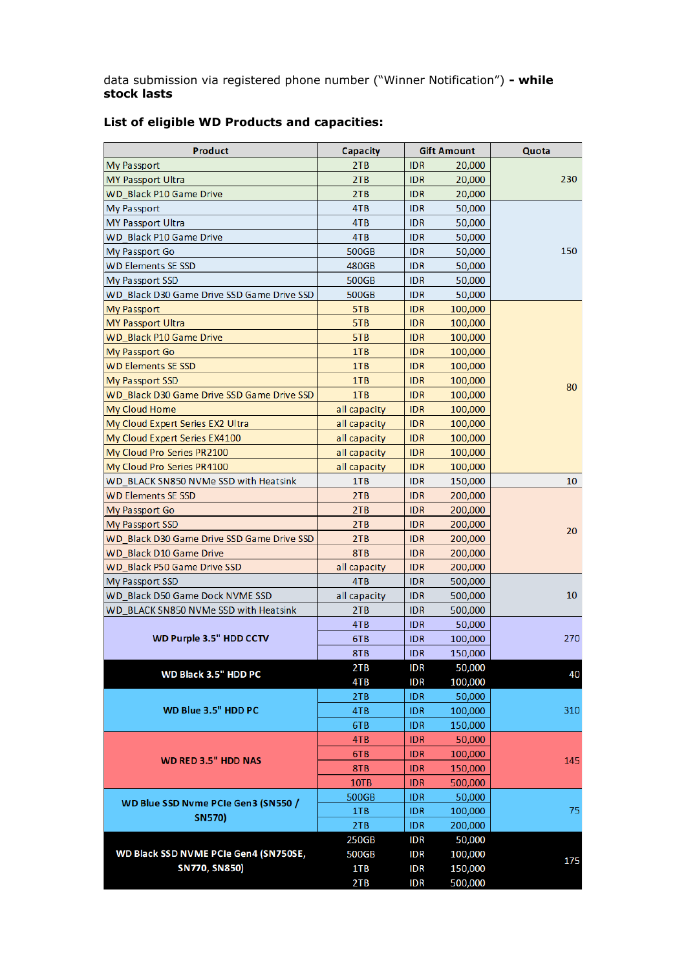data submission via registered phone number ("Winner Notification") **- while stock lasts**

| 2TB<br><b>IDR</b><br>My Passport<br>20,000<br>230<br>2TB<br>MY Passport Ultra<br><b>IDR</b><br>20,000<br><b>WD Black P10 Game Drive</b><br>2TB<br><b>IDR</b><br>20,000<br><b>My Passport</b><br>4TB<br><b>IDR</b><br>50,000<br>4TB<br>MY Passport Ultra<br><b>IDR</b><br>50,000<br><b>WD Black P10 Game Drive</b><br>4TB<br><b>IDR</b><br>50,000<br>150<br>My Passport Go<br>500GB<br><b>IDR</b><br>50,000<br><b>WD Elements SE SSD</b><br>480GB<br><b>IDR</b><br>50,000<br>My Passport SSD<br>500GB<br><b>IDR</b><br>50,000<br>WD Black D30 Game Drive SSD Game Drive SSD<br>500GB<br><b>IDR</b><br>50,000<br>5TB<br><b>IDR</b><br>My Passport<br>100,000<br>5TB<br><b>IDR</b><br><b>MY Passport Ultra</b><br>100,000<br><b>WD Black P10 Game Drive</b><br>5TB<br><b>IDR</b><br>100,000<br>1TB<br>My Passport Go<br><b>IDR</b><br>100,000<br><b>WD Elements SE SSD</b><br>1TB<br><b>IDR</b><br>100,000<br>1TB<br>My Passport SSD<br><b>IDR</b><br>100,000<br>80<br>WD Black D30 Game Drive SSD Game Drive SSD<br>1TB<br><b>IDR</b><br>100,000<br>My Cloud Home<br><b>IDR</b><br>all capacity<br>100,000<br>My Cloud Expert Series EX2 Ultra<br><b>IDR</b><br>all capacity<br>100,000<br>My Cloud Expert Series EX4100<br><b>IDR</b><br>all capacity<br>100,000<br>My Cloud Pro Series PR2100<br><b>IDR</b><br>all capacity<br>100,000<br>My Cloud Pro Series PR4100<br><b>IDR</b><br>all capacity<br>100,000<br>WD BLACK SN850 NVMe SSD with Heatsink<br>1TB<br><b>IDR</b><br>150,000<br>10<br><b>WD Elements SE SSD</b><br>2TB<br><b>IDR</b><br>200,000<br>2TB<br><b>IDR</b><br>My Passport Go<br>200,000<br>2TB<br>My Passport SSD<br><b>IDR</b><br>200,000<br>20<br>2TB<br>WD Black D30 Game Drive SSD Game Drive SSD<br><b>IDR</b><br>200,000<br>8TB<br>WD Black D10 Game Drive<br><b>IDR</b><br>200,000<br>WD Black P50 Game Drive SSD<br>all capacity<br><b>IDR</b><br>200,000<br>My Passport SSD<br>4TB<br><b>IDR</b><br>500,000<br>10 <sup>°</sup><br>WD Black D50 Game Dock NVME SSD<br>all capacity<br><b>IDR</b><br>500,000<br>WD BLACK SN850 NVMe SSD with Heatsink<br><b>IDR</b><br>2TB<br>500,000<br>4TB<br><b>IDR</b><br>50,000<br>WD Purple 3.5" HDD CCTV<br>6TB<br><b>IDR</b><br>100,000<br><b>IDR</b><br>150,000<br>8TB<br>50,000<br><b>IDR</b><br>2TB<br>WD Black 3.5" HDD PC<br>40<br>100,000<br>4TB<br><b>IDR</b><br>2TB<br><b>IDR</b><br>50,000<br>WD Blue 3.5" HDD PC<br>310<br><b>IDR</b><br>100,000<br>4TB<br>150,000<br>6TB<br><b>IDR</b><br>4TB<br><b>IDR</b><br>50,000<br>6TB<br><b>IDR</b><br>100,000<br><b>WD RED 3.5" HDD NAS</b><br>145<br>8TB<br><b>IDR</b><br>150,000<br>10TB<br><b>IDR</b><br>500,000<br>500GB<br><b>IDR</b><br>50,000<br>WD Blue SSD Nyme PCIe Gen3 (SN550 /<br>75<br><b>IDR</b><br>100,000<br>1TB<br><b>SN570)</b><br>2TB<br><b>IDR</b><br>200,000<br>250GB<br><b>IDR</b><br>50,000<br>WD Black SSD NVME PCIe Gen4 (SN750SE,<br>500GB<br><b>IDR</b><br>100,000<br>175<br><b>SN770, SN850)</b><br>1TB<br><b>IDR</b><br>150,000<br>2TB<br><b>IDR</b><br>500,000 | <b>Product</b> | Capacity | <b>Gift Amount</b> |  | Quota |
|---------------------------------------------------------------------------------------------------------------------------------------------------------------------------------------------------------------------------------------------------------------------------------------------------------------------------------------------------------------------------------------------------------------------------------------------------------------------------------------------------------------------------------------------------------------------------------------------------------------------------------------------------------------------------------------------------------------------------------------------------------------------------------------------------------------------------------------------------------------------------------------------------------------------------------------------------------------------------------------------------------------------------------------------------------------------------------------------------------------------------------------------------------------------------------------------------------------------------------------------------------------------------------------------------------------------------------------------------------------------------------------------------------------------------------------------------------------------------------------------------------------------------------------------------------------------------------------------------------------------------------------------------------------------------------------------------------------------------------------------------------------------------------------------------------------------------------------------------------------------------------------------------------------------------------------------------------------------------------------------------------------------------------------------------------------------------------------------------------------------------------------------------------------------------------------------------------------------------------------------------------------------------------------------------------------------------------------------------------------------------------------------------------------------------------------------------------------------------------------------------------------------------------------------------------------------------------------------------------------------------------------------------------------------------------------------------------------------------------------------------------------------------------------------------------------------------------------------------------------------------------------------------------------------------------------------------------------------------------------------------------------------|----------------|----------|--------------------|--|-------|
|                                                                                                                                                                                                                                                                                                                                                                                                                                                                                                                                                                                                                                                                                                                                                                                                                                                                                                                                                                                                                                                                                                                                                                                                                                                                                                                                                                                                                                                                                                                                                                                                                                                                                                                                                                                                                                                                                                                                                                                                                                                                                                                                                                                                                                                                                                                                                                                                                                                                                                                                                                                                                                                                                                                                                                                                                                                                                                                                                                                                                     |                |          |                    |  |       |
|                                                                                                                                                                                                                                                                                                                                                                                                                                                                                                                                                                                                                                                                                                                                                                                                                                                                                                                                                                                                                                                                                                                                                                                                                                                                                                                                                                                                                                                                                                                                                                                                                                                                                                                                                                                                                                                                                                                                                                                                                                                                                                                                                                                                                                                                                                                                                                                                                                                                                                                                                                                                                                                                                                                                                                                                                                                                                                                                                                                                                     |                |          |                    |  |       |
|                                                                                                                                                                                                                                                                                                                                                                                                                                                                                                                                                                                                                                                                                                                                                                                                                                                                                                                                                                                                                                                                                                                                                                                                                                                                                                                                                                                                                                                                                                                                                                                                                                                                                                                                                                                                                                                                                                                                                                                                                                                                                                                                                                                                                                                                                                                                                                                                                                                                                                                                                                                                                                                                                                                                                                                                                                                                                                                                                                                                                     |                |          |                    |  |       |
|                                                                                                                                                                                                                                                                                                                                                                                                                                                                                                                                                                                                                                                                                                                                                                                                                                                                                                                                                                                                                                                                                                                                                                                                                                                                                                                                                                                                                                                                                                                                                                                                                                                                                                                                                                                                                                                                                                                                                                                                                                                                                                                                                                                                                                                                                                                                                                                                                                                                                                                                                                                                                                                                                                                                                                                                                                                                                                                                                                                                                     |                |          |                    |  |       |
|                                                                                                                                                                                                                                                                                                                                                                                                                                                                                                                                                                                                                                                                                                                                                                                                                                                                                                                                                                                                                                                                                                                                                                                                                                                                                                                                                                                                                                                                                                                                                                                                                                                                                                                                                                                                                                                                                                                                                                                                                                                                                                                                                                                                                                                                                                                                                                                                                                                                                                                                                                                                                                                                                                                                                                                                                                                                                                                                                                                                                     |                |          |                    |  |       |
|                                                                                                                                                                                                                                                                                                                                                                                                                                                                                                                                                                                                                                                                                                                                                                                                                                                                                                                                                                                                                                                                                                                                                                                                                                                                                                                                                                                                                                                                                                                                                                                                                                                                                                                                                                                                                                                                                                                                                                                                                                                                                                                                                                                                                                                                                                                                                                                                                                                                                                                                                                                                                                                                                                                                                                                                                                                                                                                                                                                                                     |                |          |                    |  |       |
|                                                                                                                                                                                                                                                                                                                                                                                                                                                                                                                                                                                                                                                                                                                                                                                                                                                                                                                                                                                                                                                                                                                                                                                                                                                                                                                                                                                                                                                                                                                                                                                                                                                                                                                                                                                                                                                                                                                                                                                                                                                                                                                                                                                                                                                                                                                                                                                                                                                                                                                                                                                                                                                                                                                                                                                                                                                                                                                                                                                                                     |                |          |                    |  |       |
|                                                                                                                                                                                                                                                                                                                                                                                                                                                                                                                                                                                                                                                                                                                                                                                                                                                                                                                                                                                                                                                                                                                                                                                                                                                                                                                                                                                                                                                                                                                                                                                                                                                                                                                                                                                                                                                                                                                                                                                                                                                                                                                                                                                                                                                                                                                                                                                                                                                                                                                                                                                                                                                                                                                                                                                                                                                                                                                                                                                                                     |                |          |                    |  |       |
|                                                                                                                                                                                                                                                                                                                                                                                                                                                                                                                                                                                                                                                                                                                                                                                                                                                                                                                                                                                                                                                                                                                                                                                                                                                                                                                                                                                                                                                                                                                                                                                                                                                                                                                                                                                                                                                                                                                                                                                                                                                                                                                                                                                                                                                                                                                                                                                                                                                                                                                                                                                                                                                                                                                                                                                                                                                                                                                                                                                                                     |                |          |                    |  |       |
|                                                                                                                                                                                                                                                                                                                                                                                                                                                                                                                                                                                                                                                                                                                                                                                                                                                                                                                                                                                                                                                                                                                                                                                                                                                                                                                                                                                                                                                                                                                                                                                                                                                                                                                                                                                                                                                                                                                                                                                                                                                                                                                                                                                                                                                                                                                                                                                                                                                                                                                                                                                                                                                                                                                                                                                                                                                                                                                                                                                                                     |                |          |                    |  |       |
|                                                                                                                                                                                                                                                                                                                                                                                                                                                                                                                                                                                                                                                                                                                                                                                                                                                                                                                                                                                                                                                                                                                                                                                                                                                                                                                                                                                                                                                                                                                                                                                                                                                                                                                                                                                                                                                                                                                                                                                                                                                                                                                                                                                                                                                                                                                                                                                                                                                                                                                                                                                                                                                                                                                                                                                                                                                                                                                                                                                                                     |                |          |                    |  |       |
|                                                                                                                                                                                                                                                                                                                                                                                                                                                                                                                                                                                                                                                                                                                                                                                                                                                                                                                                                                                                                                                                                                                                                                                                                                                                                                                                                                                                                                                                                                                                                                                                                                                                                                                                                                                                                                                                                                                                                                                                                                                                                                                                                                                                                                                                                                                                                                                                                                                                                                                                                                                                                                                                                                                                                                                                                                                                                                                                                                                                                     |                |          |                    |  |       |
|                                                                                                                                                                                                                                                                                                                                                                                                                                                                                                                                                                                                                                                                                                                                                                                                                                                                                                                                                                                                                                                                                                                                                                                                                                                                                                                                                                                                                                                                                                                                                                                                                                                                                                                                                                                                                                                                                                                                                                                                                                                                                                                                                                                                                                                                                                                                                                                                                                                                                                                                                                                                                                                                                                                                                                                                                                                                                                                                                                                                                     |                |          |                    |  |       |
|                                                                                                                                                                                                                                                                                                                                                                                                                                                                                                                                                                                                                                                                                                                                                                                                                                                                                                                                                                                                                                                                                                                                                                                                                                                                                                                                                                                                                                                                                                                                                                                                                                                                                                                                                                                                                                                                                                                                                                                                                                                                                                                                                                                                                                                                                                                                                                                                                                                                                                                                                                                                                                                                                                                                                                                                                                                                                                                                                                                                                     |                |          |                    |  |       |
|                                                                                                                                                                                                                                                                                                                                                                                                                                                                                                                                                                                                                                                                                                                                                                                                                                                                                                                                                                                                                                                                                                                                                                                                                                                                                                                                                                                                                                                                                                                                                                                                                                                                                                                                                                                                                                                                                                                                                                                                                                                                                                                                                                                                                                                                                                                                                                                                                                                                                                                                                                                                                                                                                                                                                                                                                                                                                                                                                                                                                     |                |          |                    |  |       |
|                                                                                                                                                                                                                                                                                                                                                                                                                                                                                                                                                                                                                                                                                                                                                                                                                                                                                                                                                                                                                                                                                                                                                                                                                                                                                                                                                                                                                                                                                                                                                                                                                                                                                                                                                                                                                                                                                                                                                                                                                                                                                                                                                                                                                                                                                                                                                                                                                                                                                                                                                                                                                                                                                                                                                                                                                                                                                                                                                                                                                     |                |          |                    |  |       |
|                                                                                                                                                                                                                                                                                                                                                                                                                                                                                                                                                                                                                                                                                                                                                                                                                                                                                                                                                                                                                                                                                                                                                                                                                                                                                                                                                                                                                                                                                                                                                                                                                                                                                                                                                                                                                                                                                                                                                                                                                                                                                                                                                                                                                                                                                                                                                                                                                                                                                                                                                                                                                                                                                                                                                                                                                                                                                                                                                                                                                     |                |          |                    |  |       |
|                                                                                                                                                                                                                                                                                                                                                                                                                                                                                                                                                                                                                                                                                                                                                                                                                                                                                                                                                                                                                                                                                                                                                                                                                                                                                                                                                                                                                                                                                                                                                                                                                                                                                                                                                                                                                                                                                                                                                                                                                                                                                                                                                                                                                                                                                                                                                                                                                                                                                                                                                                                                                                                                                                                                                                                                                                                                                                                                                                                                                     |                |          |                    |  |       |
|                                                                                                                                                                                                                                                                                                                                                                                                                                                                                                                                                                                                                                                                                                                                                                                                                                                                                                                                                                                                                                                                                                                                                                                                                                                                                                                                                                                                                                                                                                                                                                                                                                                                                                                                                                                                                                                                                                                                                                                                                                                                                                                                                                                                                                                                                                                                                                                                                                                                                                                                                                                                                                                                                                                                                                                                                                                                                                                                                                                                                     |                |          |                    |  |       |
|                                                                                                                                                                                                                                                                                                                                                                                                                                                                                                                                                                                                                                                                                                                                                                                                                                                                                                                                                                                                                                                                                                                                                                                                                                                                                                                                                                                                                                                                                                                                                                                                                                                                                                                                                                                                                                                                                                                                                                                                                                                                                                                                                                                                                                                                                                                                                                                                                                                                                                                                                                                                                                                                                                                                                                                                                                                                                                                                                                                                                     |                |          |                    |  |       |
|                                                                                                                                                                                                                                                                                                                                                                                                                                                                                                                                                                                                                                                                                                                                                                                                                                                                                                                                                                                                                                                                                                                                                                                                                                                                                                                                                                                                                                                                                                                                                                                                                                                                                                                                                                                                                                                                                                                                                                                                                                                                                                                                                                                                                                                                                                                                                                                                                                                                                                                                                                                                                                                                                                                                                                                                                                                                                                                                                                                                                     |                |          |                    |  |       |
|                                                                                                                                                                                                                                                                                                                                                                                                                                                                                                                                                                                                                                                                                                                                                                                                                                                                                                                                                                                                                                                                                                                                                                                                                                                                                                                                                                                                                                                                                                                                                                                                                                                                                                                                                                                                                                                                                                                                                                                                                                                                                                                                                                                                                                                                                                                                                                                                                                                                                                                                                                                                                                                                                                                                                                                                                                                                                                                                                                                                                     |                |          |                    |  |       |
|                                                                                                                                                                                                                                                                                                                                                                                                                                                                                                                                                                                                                                                                                                                                                                                                                                                                                                                                                                                                                                                                                                                                                                                                                                                                                                                                                                                                                                                                                                                                                                                                                                                                                                                                                                                                                                                                                                                                                                                                                                                                                                                                                                                                                                                                                                                                                                                                                                                                                                                                                                                                                                                                                                                                                                                                                                                                                                                                                                                                                     |                |          |                    |  |       |
|                                                                                                                                                                                                                                                                                                                                                                                                                                                                                                                                                                                                                                                                                                                                                                                                                                                                                                                                                                                                                                                                                                                                                                                                                                                                                                                                                                                                                                                                                                                                                                                                                                                                                                                                                                                                                                                                                                                                                                                                                                                                                                                                                                                                                                                                                                                                                                                                                                                                                                                                                                                                                                                                                                                                                                                                                                                                                                                                                                                                                     |                |          |                    |  |       |
|                                                                                                                                                                                                                                                                                                                                                                                                                                                                                                                                                                                                                                                                                                                                                                                                                                                                                                                                                                                                                                                                                                                                                                                                                                                                                                                                                                                                                                                                                                                                                                                                                                                                                                                                                                                                                                                                                                                                                                                                                                                                                                                                                                                                                                                                                                                                                                                                                                                                                                                                                                                                                                                                                                                                                                                                                                                                                                                                                                                                                     |                |          |                    |  |       |
|                                                                                                                                                                                                                                                                                                                                                                                                                                                                                                                                                                                                                                                                                                                                                                                                                                                                                                                                                                                                                                                                                                                                                                                                                                                                                                                                                                                                                                                                                                                                                                                                                                                                                                                                                                                                                                                                                                                                                                                                                                                                                                                                                                                                                                                                                                                                                                                                                                                                                                                                                                                                                                                                                                                                                                                                                                                                                                                                                                                                                     |                |          |                    |  |       |
|                                                                                                                                                                                                                                                                                                                                                                                                                                                                                                                                                                                                                                                                                                                                                                                                                                                                                                                                                                                                                                                                                                                                                                                                                                                                                                                                                                                                                                                                                                                                                                                                                                                                                                                                                                                                                                                                                                                                                                                                                                                                                                                                                                                                                                                                                                                                                                                                                                                                                                                                                                                                                                                                                                                                                                                                                                                                                                                                                                                                                     |                |          |                    |  |       |
|                                                                                                                                                                                                                                                                                                                                                                                                                                                                                                                                                                                                                                                                                                                                                                                                                                                                                                                                                                                                                                                                                                                                                                                                                                                                                                                                                                                                                                                                                                                                                                                                                                                                                                                                                                                                                                                                                                                                                                                                                                                                                                                                                                                                                                                                                                                                                                                                                                                                                                                                                                                                                                                                                                                                                                                                                                                                                                                                                                                                                     |                |          |                    |  |       |
|                                                                                                                                                                                                                                                                                                                                                                                                                                                                                                                                                                                                                                                                                                                                                                                                                                                                                                                                                                                                                                                                                                                                                                                                                                                                                                                                                                                                                                                                                                                                                                                                                                                                                                                                                                                                                                                                                                                                                                                                                                                                                                                                                                                                                                                                                                                                                                                                                                                                                                                                                                                                                                                                                                                                                                                                                                                                                                                                                                                                                     |                |          |                    |  |       |
|                                                                                                                                                                                                                                                                                                                                                                                                                                                                                                                                                                                                                                                                                                                                                                                                                                                                                                                                                                                                                                                                                                                                                                                                                                                                                                                                                                                                                                                                                                                                                                                                                                                                                                                                                                                                                                                                                                                                                                                                                                                                                                                                                                                                                                                                                                                                                                                                                                                                                                                                                                                                                                                                                                                                                                                                                                                                                                                                                                                                                     |                |          |                    |  |       |
|                                                                                                                                                                                                                                                                                                                                                                                                                                                                                                                                                                                                                                                                                                                                                                                                                                                                                                                                                                                                                                                                                                                                                                                                                                                                                                                                                                                                                                                                                                                                                                                                                                                                                                                                                                                                                                                                                                                                                                                                                                                                                                                                                                                                                                                                                                                                                                                                                                                                                                                                                                                                                                                                                                                                                                                                                                                                                                                                                                                                                     |                |          |                    |  |       |
|                                                                                                                                                                                                                                                                                                                                                                                                                                                                                                                                                                                                                                                                                                                                                                                                                                                                                                                                                                                                                                                                                                                                                                                                                                                                                                                                                                                                                                                                                                                                                                                                                                                                                                                                                                                                                                                                                                                                                                                                                                                                                                                                                                                                                                                                                                                                                                                                                                                                                                                                                                                                                                                                                                                                                                                                                                                                                                                                                                                                                     |                |          |                    |  |       |
|                                                                                                                                                                                                                                                                                                                                                                                                                                                                                                                                                                                                                                                                                                                                                                                                                                                                                                                                                                                                                                                                                                                                                                                                                                                                                                                                                                                                                                                                                                                                                                                                                                                                                                                                                                                                                                                                                                                                                                                                                                                                                                                                                                                                                                                                                                                                                                                                                                                                                                                                                                                                                                                                                                                                                                                                                                                                                                                                                                                                                     |                |          |                    |  | 270   |
|                                                                                                                                                                                                                                                                                                                                                                                                                                                                                                                                                                                                                                                                                                                                                                                                                                                                                                                                                                                                                                                                                                                                                                                                                                                                                                                                                                                                                                                                                                                                                                                                                                                                                                                                                                                                                                                                                                                                                                                                                                                                                                                                                                                                                                                                                                                                                                                                                                                                                                                                                                                                                                                                                                                                                                                                                                                                                                                                                                                                                     |                |          |                    |  |       |
|                                                                                                                                                                                                                                                                                                                                                                                                                                                                                                                                                                                                                                                                                                                                                                                                                                                                                                                                                                                                                                                                                                                                                                                                                                                                                                                                                                                                                                                                                                                                                                                                                                                                                                                                                                                                                                                                                                                                                                                                                                                                                                                                                                                                                                                                                                                                                                                                                                                                                                                                                                                                                                                                                                                                                                                                                                                                                                                                                                                                                     |                |          |                    |  |       |
|                                                                                                                                                                                                                                                                                                                                                                                                                                                                                                                                                                                                                                                                                                                                                                                                                                                                                                                                                                                                                                                                                                                                                                                                                                                                                                                                                                                                                                                                                                                                                                                                                                                                                                                                                                                                                                                                                                                                                                                                                                                                                                                                                                                                                                                                                                                                                                                                                                                                                                                                                                                                                                                                                                                                                                                                                                                                                                                                                                                                                     |                |          |                    |  |       |
|                                                                                                                                                                                                                                                                                                                                                                                                                                                                                                                                                                                                                                                                                                                                                                                                                                                                                                                                                                                                                                                                                                                                                                                                                                                                                                                                                                                                                                                                                                                                                                                                                                                                                                                                                                                                                                                                                                                                                                                                                                                                                                                                                                                                                                                                                                                                                                                                                                                                                                                                                                                                                                                                                                                                                                                                                                                                                                                                                                                                                     |                |          |                    |  |       |
|                                                                                                                                                                                                                                                                                                                                                                                                                                                                                                                                                                                                                                                                                                                                                                                                                                                                                                                                                                                                                                                                                                                                                                                                                                                                                                                                                                                                                                                                                                                                                                                                                                                                                                                                                                                                                                                                                                                                                                                                                                                                                                                                                                                                                                                                                                                                                                                                                                                                                                                                                                                                                                                                                                                                                                                                                                                                                                                                                                                                                     |                |          |                    |  |       |
|                                                                                                                                                                                                                                                                                                                                                                                                                                                                                                                                                                                                                                                                                                                                                                                                                                                                                                                                                                                                                                                                                                                                                                                                                                                                                                                                                                                                                                                                                                                                                                                                                                                                                                                                                                                                                                                                                                                                                                                                                                                                                                                                                                                                                                                                                                                                                                                                                                                                                                                                                                                                                                                                                                                                                                                                                                                                                                                                                                                                                     |                |          |                    |  |       |
|                                                                                                                                                                                                                                                                                                                                                                                                                                                                                                                                                                                                                                                                                                                                                                                                                                                                                                                                                                                                                                                                                                                                                                                                                                                                                                                                                                                                                                                                                                                                                                                                                                                                                                                                                                                                                                                                                                                                                                                                                                                                                                                                                                                                                                                                                                                                                                                                                                                                                                                                                                                                                                                                                                                                                                                                                                                                                                                                                                                                                     |                |          |                    |  |       |
|                                                                                                                                                                                                                                                                                                                                                                                                                                                                                                                                                                                                                                                                                                                                                                                                                                                                                                                                                                                                                                                                                                                                                                                                                                                                                                                                                                                                                                                                                                                                                                                                                                                                                                                                                                                                                                                                                                                                                                                                                                                                                                                                                                                                                                                                                                                                                                                                                                                                                                                                                                                                                                                                                                                                                                                                                                                                                                                                                                                                                     |                |          |                    |  |       |
|                                                                                                                                                                                                                                                                                                                                                                                                                                                                                                                                                                                                                                                                                                                                                                                                                                                                                                                                                                                                                                                                                                                                                                                                                                                                                                                                                                                                                                                                                                                                                                                                                                                                                                                                                                                                                                                                                                                                                                                                                                                                                                                                                                                                                                                                                                                                                                                                                                                                                                                                                                                                                                                                                                                                                                                                                                                                                                                                                                                                                     |                |          |                    |  |       |
|                                                                                                                                                                                                                                                                                                                                                                                                                                                                                                                                                                                                                                                                                                                                                                                                                                                                                                                                                                                                                                                                                                                                                                                                                                                                                                                                                                                                                                                                                                                                                                                                                                                                                                                                                                                                                                                                                                                                                                                                                                                                                                                                                                                                                                                                                                                                                                                                                                                                                                                                                                                                                                                                                                                                                                                                                                                                                                                                                                                                                     |                |          |                    |  |       |
|                                                                                                                                                                                                                                                                                                                                                                                                                                                                                                                                                                                                                                                                                                                                                                                                                                                                                                                                                                                                                                                                                                                                                                                                                                                                                                                                                                                                                                                                                                                                                                                                                                                                                                                                                                                                                                                                                                                                                                                                                                                                                                                                                                                                                                                                                                                                                                                                                                                                                                                                                                                                                                                                                                                                                                                                                                                                                                                                                                                                                     |                |          |                    |  |       |
|                                                                                                                                                                                                                                                                                                                                                                                                                                                                                                                                                                                                                                                                                                                                                                                                                                                                                                                                                                                                                                                                                                                                                                                                                                                                                                                                                                                                                                                                                                                                                                                                                                                                                                                                                                                                                                                                                                                                                                                                                                                                                                                                                                                                                                                                                                                                                                                                                                                                                                                                                                                                                                                                                                                                                                                                                                                                                                                                                                                                                     |                |          |                    |  |       |
|                                                                                                                                                                                                                                                                                                                                                                                                                                                                                                                                                                                                                                                                                                                                                                                                                                                                                                                                                                                                                                                                                                                                                                                                                                                                                                                                                                                                                                                                                                                                                                                                                                                                                                                                                                                                                                                                                                                                                                                                                                                                                                                                                                                                                                                                                                                                                                                                                                                                                                                                                                                                                                                                                                                                                                                                                                                                                                                                                                                                                     |                |          |                    |  |       |
|                                                                                                                                                                                                                                                                                                                                                                                                                                                                                                                                                                                                                                                                                                                                                                                                                                                                                                                                                                                                                                                                                                                                                                                                                                                                                                                                                                                                                                                                                                                                                                                                                                                                                                                                                                                                                                                                                                                                                                                                                                                                                                                                                                                                                                                                                                                                                                                                                                                                                                                                                                                                                                                                                                                                                                                                                                                                                                                                                                                                                     |                |          |                    |  |       |
|                                                                                                                                                                                                                                                                                                                                                                                                                                                                                                                                                                                                                                                                                                                                                                                                                                                                                                                                                                                                                                                                                                                                                                                                                                                                                                                                                                                                                                                                                                                                                                                                                                                                                                                                                                                                                                                                                                                                                                                                                                                                                                                                                                                                                                                                                                                                                                                                                                                                                                                                                                                                                                                                                                                                                                                                                                                                                                                                                                                                                     |                |          |                    |  |       |
|                                                                                                                                                                                                                                                                                                                                                                                                                                                                                                                                                                                                                                                                                                                                                                                                                                                                                                                                                                                                                                                                                                                                                                                                                                                                                                                                                                                                                                                                                                                                                                                                                                                                                                                                                                                                                                                                                                                                                                                                                                                                                                                                                                                                                                                                                                                                                                                                                                                                                                                                                                                                                                                                                                                                                                                                                                                                                                                                                                                                                     |                |          |                    |  |       |
|                                                                                                                                                                                                                                                                                                                                                                                                                                                                                                                                                                                                                                                                                                                                                                                                                                                                                                                                                                                                                                                                                                                                                                                                                                                                                                                                                                                                                                                                                                                                                                                                                                                                                                                                                                                                                                                                                                                                                                                                                                                                                                                                                                                                                                                                                                                                                                                                                                                                                                                                                                                                                                                                                                                                                                                                                                                                                                                                                                                                                     |                |          |                    |  |       |
|                                                                                                                                                                                                                                                                                                                                                                                                                                                                                                                                                                                                                                                                                                                                                                                                                                                                                                                                                                                                                                                                                                                                                                                                                                                                                                                                                                                                                                                                                                                                                                                                                                                                                                                                                                                                                                                                                                                                                                                                                                                                                                                                                                                                                                                                                                                                                                                                                                                                                                                                                                                                                                                                                                                                                                                                                                                                                                                                                                                                                     |                |          |                    |  |       |

## **List of eligible WD Products and capacities:**